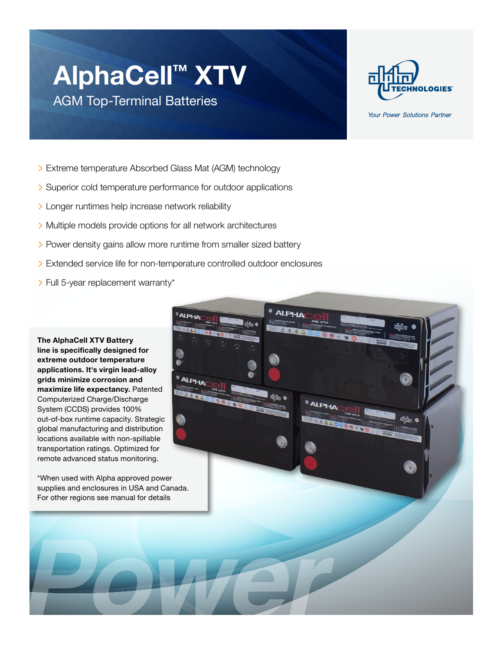## **AlphaCell™ XTV**

AGM Top-Terminal Batteries



Your Power Solutions Partner

- > Extreme temperature Absorbed Glass Mat (AGM) technology
- > Superior cold temperature performance for outdoor applications
- > Longer runtimes help increase network reliability
- > Multiple models provide options for all network architectures
- > Power density gains allow more runtime from smaller sized battery
- > Extended service life for non-temperature controlled outdoor enclosures
- > Full 5-year replacement warranty\*

**The AlphaCell XTV Battery line is specifically designed for extreme outdoor temperature applications. It's virgin lead-alloy grids minimize corrosion and maximize life expectancy.** Patented Computerized Charge/Discharge System (CCDS) provides 100% out-of-box runtime capacity. Strategic global manufacturing and distribution locations available with non-spillable transportation ratings. Optimized for remote advanced status monitoring.

\*When used with Alpha approved power supplies and enclosures in USA and Canada. For other regions see manual for details